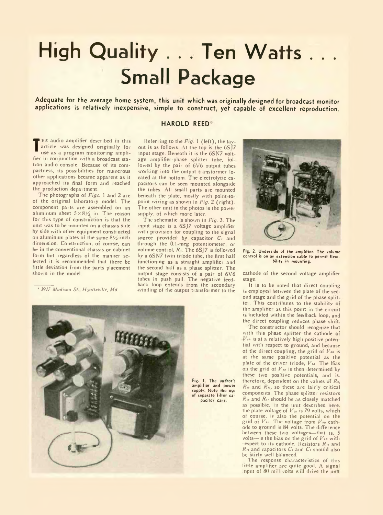## **High Quality . . . Ten Watts . . . Small Package**

Adequate for the average home system, this unit which was originally designed for broadcast monitor applications is relatively inexpensive, simple to construct, yet capable of excellent reproduction.

## **HAROLD REED**

**T**use as a program monitoring ampli-HE audio amplifier described in this article was designed originally for fier in conjunction with a broadcast station audio console. Because of its compactness, its possibilities for numerous other applications became apparent as it approached its final form and reached the production department.

The photographs of *Figs.* 1 and 2 arc of the original laboratory model. The component parts are assembled on an aluminum sheet  $5 \times 8\frac{1}{2}$  in. The reason for this type of construction is that the unit was to be mounted on a chassis side by side with other equipment constructed on aluminum plates of the same  $8v_2$ -inch dimension. Construction, of course, can be in the conventional chassis or cabinet form but regardless of the manner selected it 'S recommended that there be little deviation from the parts placement shown in the model.

\* *3917 Madison St., Hyattsville, Md.*

Referring to the *Fig.* 1 (left), the layout is as follows. At the top is the 6SJ7 input stage. Beneath it is the 6SN7 voltage amplifier-phase splitter tube, fol lowed by the pair of 6V6 output tubes working into the output transformer located at the bottom. The electrolytic capacitors can be seen mounted alongside the tubes. All small parts are mounted beneath the plate, mostly with point-topoint wiring as shown in *Fig.* 2 (right). The other unit in the photos is the power supply, of which more later.

The schematic is shown in *Fig.* 3. The input stage is a 6SJ7 voltage amplifier with provision for coupling to the signal source provided by capacitor C<sub>i</sub> and through the 0.1-meg potentiometer, or volume control,  $R_1$ . The 6SJ7 is followed by a 6SN7 twin triode tube, the first half functioning as a straight amplifier and the second half as a phase splitter. The output stage consists of a pair of 6V6 tubes in push pull. The negative feedback loop extends from the secondary winding of the output transformer to the



Fig. 1. The author's amplifier and power of separate filter capacifor cans.



Fig. 2, Underside of the amplifier The volume control is on an extension cable to permit flexibility in mounting.

cathode of the second voltage amplifier stage.

It is to be noted that direct coupling is employed between the plate of the second stage and the grid of the phase splitter. This contributes to the stability of the amplifier as this point in the circuit is included within the feedback loop, and the direct coupling reduces phase shift.

The constructor should recognize that with this phase splitter the cathode of K*u>* is at a relatively high positive potential with respect to ground, and because of the direct coupling, the grid of  $V_{ab}$  is at the same positive potential as the plate of the driver triode,  $V_{14}$ . The bias on the grid of  $V_{\mathcal{P}}$  is then determined by these two positive potentials, and is, therefore, dependent on the values of *Ri, Ri>* and *Rn,* so these are fairly critical components. The phase splitter resistors *R* v and *Rn* should be as closely matched as possible. In the unit described here, the plate voltage of *V* ; is 79 volts, which of course, is also the potential on the grid of  $V_{\ell m}$ . The voltage from  $V_{\ell m}$  cathode to ground is 84 volts. The difference between these two voltages—that is, 5 volts-is the bias on the grid of  $V_{18}$  with respect to its cathode. Resistors  $R_{\mu}$  and *Rn* and capacitors *C•* and *Ci* should also be fairly well balanced.

The response characteristics of this little amplifier are quite good. A signal input of 80 millivolts will drive the unit